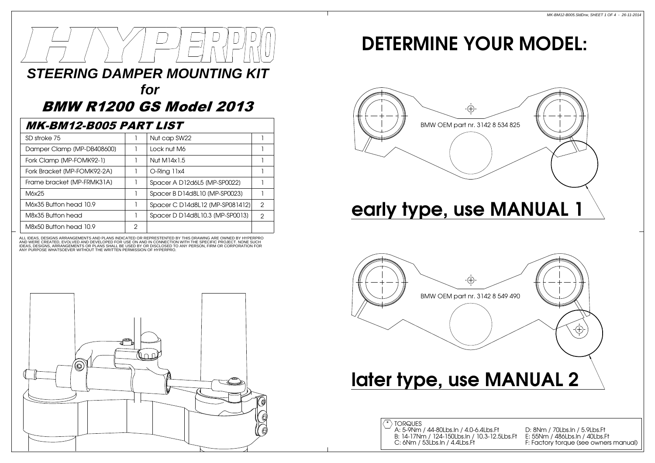# **STEERING DAMPER MOUNTING KIT**

# **for**

# BMW R1200 GS Model 2013

#### MK-BM12-B005 PART LIST

| SD stroke 75                |   | Nut cap SW22                    |               |
|-----------------------------|---|---------------------------------|---------------|
| Damper Clamp (MP-DB408600)  |   | Lock nut M6                     |               |
| Fork Clamp (MP-FOMK92-1)    |   | Nut M14x1.5                     |               |
| Fork Bracket (MP-FOMK92-2A) |   | O-Ring 11x4                     |               |
| Frame bracket (MP-FRMK31A)  |   | Spacer A D12d6L5 (MP-SP0022)    |               |
| M6x25                       |   | Spacer B D14d8L10 (MP-SP0023)   |               |
| M6x35 Button head 10.9      |   | Spacer C D14d8L12 (MP-SP081412) | $\mathcal{P}$ |
| M8x35 Button head           |   | Spacer D D14d8L10.3 (MP-SP0013) | 2             |
| M8x50 Button head 10.9      | 2 |                                 |               |

AND WERE CREATED, EVOLVED AND DEVELOPED FOR USE ON AND IN CONNECTION WITH THE SPECIFIC PROJECT. NONE SUCH<br>IDEAS, DESIGNS, ARRANGEMENTS OR PLANS SHALL BE USED BY OR DISCLOSED TO ANY PERSON, FIRM OR CORPORATION FOR ANY PURPOSE WHATSOEVER WITHOUT THE WRITTEN PERMISSION OF HYPERPRO.ALL IDEAS, DESIGNS ARRANGEMENTS AND PLANS INDICATED OR REPRESTENTED BY THIS DRAWING ARE OWNED BY HYPERPRO



# DETERMINE YOUR MODEL:







F: Factory torque (see owners manual) D: 8Nm / 70Lbs.In / 5.9Lbs.FtE: 55Nm / 486Lbs.In / 40Lbs.Ft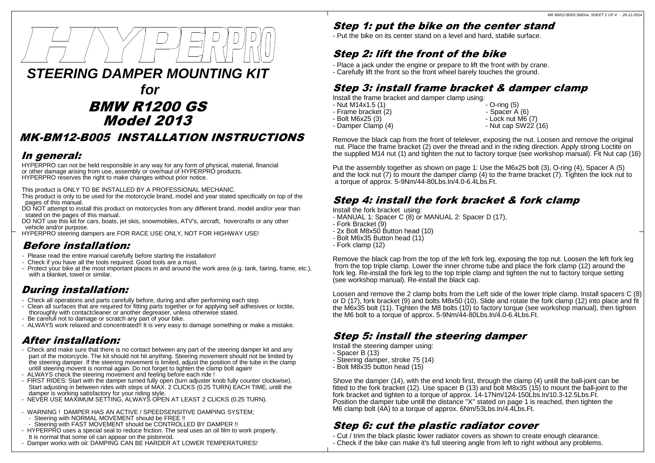

## BMW R1200 GS Model 2013

#### MK-BM12-B005 INSTALLATION INSTRUCTIONS

#### In general:

HYPERPRO can not be held responsible in any way for any form of physical, material, financial or other damage arising from use, assembly or overhaul of HYPERPRO products.HYPERPRO reserves the right to make changes without prior notice.

This product is ONLY TO BE INSTALLED BY A PROFESSIONAL MECHANIC.

- This product is only to be used for the motorcycle brand, model and year stated specifically on top of the pages of this manual.
- DO NOT attempt to install this product on motorcycles from any different brand, model and/or year thanstated on the pages of this manual.
- DO NOT use this kit for cars, boats, jet skis, snowmobiles, ATV's, aircraft, hovercrafts or any othervehicle and/or purpose.
- HYPERPRO steering dampers are FOR RACE USE ONLY, NOT FOR HIGHWAY USE!

#### Before installation:

- Please read the entire manual carefully before starting the installation!
- Check if you have all the tools required. Good tools are a must.
- Protect your bike at the most important places in and around the work area (e.g. tank, fairing, frame, etc.),with a blanket, towel or similar.

#### During installation:

- Check all operations and parts carefully before, during and after performing each step.
- Clean all surfaces that are required for fitting parts together or for applying self adhesives or loctite,thoroughly with contactcleaner or another degreaser, unless otherwise stated.
- Be carefull not to damage or scratch any part of your bike.
- ALWAYS work relaxed and concentrated!! It is very easy to damage something or make a mistake.

#### After installation:

- Check and make sure that there is no contact between any part of the steering damper kit and any part of the motorcycle. The kit should not hit anything. Steering movement should not be limited by the steering damper. If the steering movement is limited, adjust the position of the tube in the clampuntill steering movent is normal again. Do not forget to tighten the clamp bolt again!
- ALWAYS check the steering movement and feeling before each ride !
- FIRST RIDES: Start with the damper turned fully open (turn adjuster knob fully counter clockwise). Start adjusting in between rides with steps of MAX. 2 CLICKS (0.25 TURN) EACH TIME, untill thedamper is working satisfactory for your riding style.
- NEVER USE MAXIMUM SETTING, ALWAYS OPEN AT LEAST 2 CLICKS (0.25 TURN).
- WARNING ! DAMPER HAS AN ACTIVE / SPEEDSENSITIVE DAMPING SYSTEM;
- Steering with NORMAL MOVEMENT should be FREE !!
- Steering with FAST MOVEMENT should be CONTROLLED BY DAMPER !!
- HYPERPRO uses a special seal to reduce friction. The seal uses an oil film to work properly.It is normal that some oil can appear on the pistonrod.
- Damper works with oil: DAMPING CAN BE HARDER AT LOWER TEMPERATURES!

### Step 1: put the bike on the center stand

- Put the bike on its center stand on a level and hard, stabile surface.

#### Step 2: lift the front of the bike

- Place a jack under the engine or prepare to lift the front with by crane.
- Carefully lift the front so the front wheel barely touches the ground.

#### Step 3: install frame bracket & damper clamp

Install the frame bracket and damper clamp using:

- $-$  Nut M14x1.5 (1)
- Frame bracket (2)<br>- Bolt M6x25 (3)
- 
- $-$  O-ring  $(5)$ - Spacer A (6)
- Bolt M6x25 (3) Dock nut M6 (7)
	-
- 
- Damper Clamp (4) Nut cap SW22 (16)

Remove the black cap from the front of telelever, exposing the nut. Loosen and remove the original nut. Place the frame bracket (2) over the thread and in the riding direction. Apply strong Loctite onthe supplied M14 nut (1) and tighten the nut to factory torque (see workshop manual). Fit Nut cap (16)

Put the assembly together as shown on page 1: Use the M6x25 bolt (3), O-ring (4), Spacer A (5) and the lock nut (7) to mount the damper clamp (4) to the frame bracket (7). Tighten the lock nut toa torque of approx. 5-9Nm/44-80Lbs.In/4.0-6.4Lbs.Ft.

#### Step 4: install the fork bracket & fork clamp

Install the fork bracket using:

- MANUAL 1: Spacer C (8) or MANUAL 2: Spacer D (17),
- Fork Bracket (9)
- 2x Bolt M8x50 Button head (10)
- Bolt M6x35 Button head (11)
- Fork clamp (12)

Remove the black cap from the top of the left fork leg, exposing the top nut. Loosen the left fork leg from the top triple clamp. Lower the inner chrome tube and place the fork clamp (12) around the fork leg. Re-install the fork leg to the top triple clamp and tighten the nut to factory torque setting (see workshop manual). Re-install the black cap.

Loosen and remove the 2 clamp bolts from the Left side of the lower triple clamp. Install spacers C (8) or D (17), fork bracket (9) and bolts M8x50 (10). Slide and rotate the fork clamp (12) into place and fit the M6x35 bolt (11). Tighten the M8 bolts (10) to factory torque (see workshop manual), then tighten the M6 bolt to a torque of approx.  $5-9$ Nm/ $44-80$ Lbs. $ln/4.0-6.4$ Lbs.Ft.

#### Step 5: install the steering damper

Install the steering damper using:

- Spacer B (13)
- Steering damper, stroke 75 (14)
- Bolt M8x35 button head (15)

Shove the damper (14), with the end knob first, through the clamp (4) untill the ball-joint can be fitted to the fork bracket (12). Use spacer B (13) and bolt M8x35 (15) to mount the ball-joint to thefork bracket and tighten to a torque of approx. 14-17Nm/124-150Lbs.In/10.3-12.5Lbs.Ft. Position the damper tube untill the distance "X" stated on page 1 is reached, then tighten the M6 clamp bolt (4A) to a torque of approx. 6Nm/53Lbs.In/4.4Lbs.Ft.

#### Step 6: cut the plastic radiator cover

 - Cut / trim the black plastic lower radiator covers as shown to create enough clearance.- Check if the bike can make it's full steering angle from left to right without any problems.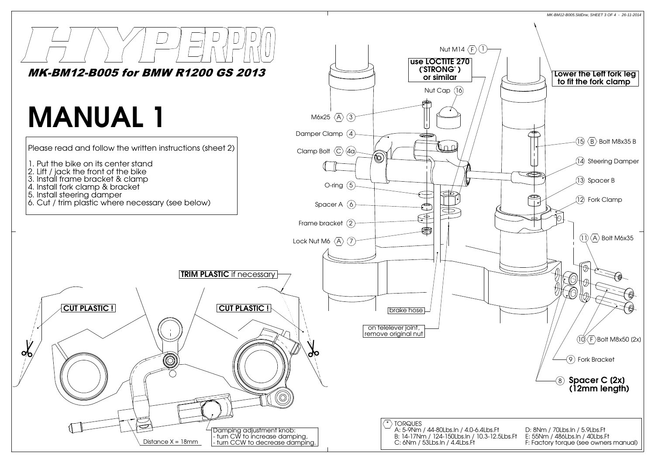